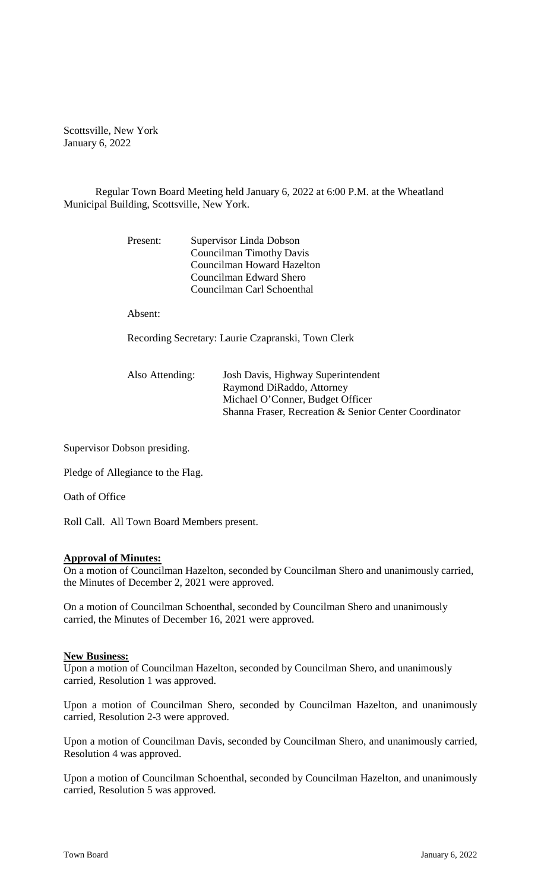Scottsville, New York January 6, 2022

Regular Town Board Meeting held January 6, 2022 at 6:00 P.M. at the Wheatland Municipal Building, Scottsville, New York.

| Present: | Supervisor Linda Dobson    |  |
|----------|----------------------------|--|
|          | Councilman Timothy Davis   |  |
|          | Councilman Howard Hazelton |  |
|          | Councilman Edward Shero    |  |
|          | Councilman Carl Schoenthal |  |

Absent:

Recording Secretary: Laurie Czapranski, Town Clerk

| Shanna Fraser, Recreation & Senior Center Coordinator |
|-------------------------------------------------------|
|                                                       |

Supervisor Dobson presiding.

Pledge of Allegiance to the Flag.

Oath of Office

Roll Call. All Town Board Members present.

### **Approval of Minutes:**

On a motion of Councilman Hazelton, seconded by Councilman Shero and unanimously carried, the Minutes of December 2, 2021 were approved.

On a motion of Councilman Schoenthal, seconded by Councilman Shero and unanimously carried, the Minutes of December 16, 2021 were approved.

#### **New Business:**

Upon a motion of Councilman Hazelton, seconded by Councilman Shero, and unanimously carried, Resolution 1 was approved.

Upon a motion of Councilman Shero, seconded by Councilman Hazelton, and unanimously carried, Resolution 2-3 were approved.

Upon a motion of Councilman Davis, seconded by Councilman Shero, and unanimously carried, Resolution 4 was approved.

Upon a motion of Councilman Schoenthal, seconded by Councilman Hazelton, and unanimously carried, Resolution 5 was approved.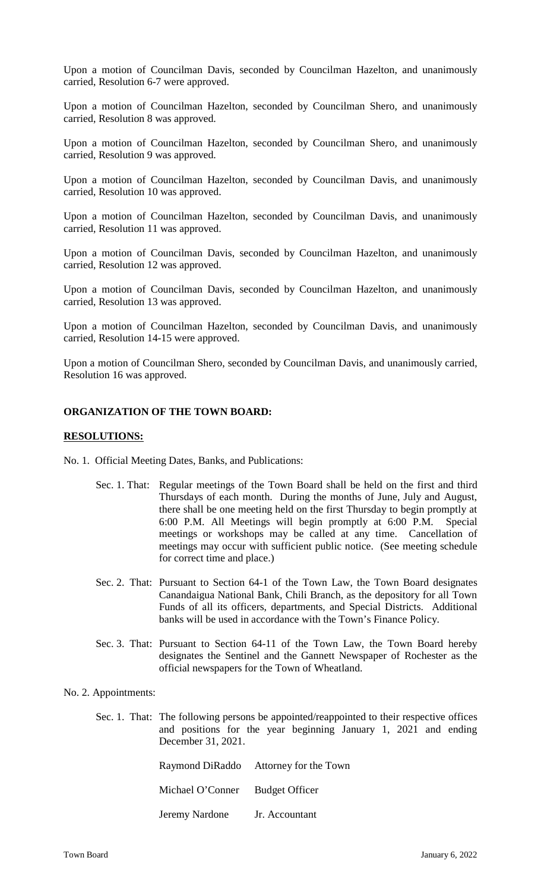Upon a motion of Councilman Davis, seconded by Councilman Hazelton, and unanimously carried, Resolution 6-7 were approved.

Upon a motion of Councilman Hazelton, seconded by Councilman Shero, and unanimously carried, Resolution 8 was approved.

Upon a motion of Councilman Hazelton, seconded by Councilman Shero, and unanimously carried, Resolution 9 was approved.

Upon a motion of Councilman Hazelton, seconded by Councilman Davis, and unanimously carried, Resolution 10 was approved.

Upon a motion of Councilman Hazelton, seconded by Councilman Davis, and unanimously carried, Resolution 11 was approved.

Upon a motion of Councilman Davis, seconded by Councilman Hazelton, and unanimously carried, Resolution 12 was approved.

Upon a motion of Councilman Davis, seconded by Councilman Hazelton, and unanimously carried, Resolution 13 was approved.

Upon a motion of Councilman Hazelton, seconded by Councilman Davis, and unanimously carried, Resolution 14-15 were approved.

Upon a motion of Councilman Shero, seconded by Councilman Davis, and unanimously carried, Resolution 16 was approved.

## **ORGANIZATION OF THE TOWN BOARD:**

### **RESOLUTIONS:**

No. 1. Official Meeting Dates, Banks, and Publications:

- Sec. 1. That: Regular meetings of the Town Board shall be held on the first and third Thursdays of each month. During the months of June, July and August, there shall be one meeting held on the first Thursday to begin promptly at 6:00 P.M. All Meetings will begin promptly at 6:00 P.M. Special meetings or workshops may be called at any time. Cancellation of meetings may occur with sufficient public notice. (See meeting schedule for correct time and place.)
- Sec. 2. That: Pursuant to Section 64-1 of the Town Law, the Town Board designates Canandaigua National Bank, Chili Branch, as the depository for all Town Funds of all its officers, departments, and Special Districts. Additional banks will be used in accordance with the Town's Finance Policy.
- Sec. 3. That: Pursuant to Section 64-11 of the Town Law, the Town Board hereby designates the Sentinel and the Gannett Newspaper of Rochester as the official newspapers for the Town of Wheatland.

### No. 2. Appointments:

Sec. 1. That: The following persons be appointed/reappointed to their respective offices and positions for the year beginning January 1, 2021 and ending December 31, 2021.

|                                 | Raymond DiRaddo Attorney for the Town |
|---------------------------------|---------------------------------------|
| Michael O'Conner Budget Officer |                                       |
| Jeremy Nardone                  | Jr. Accountant                        |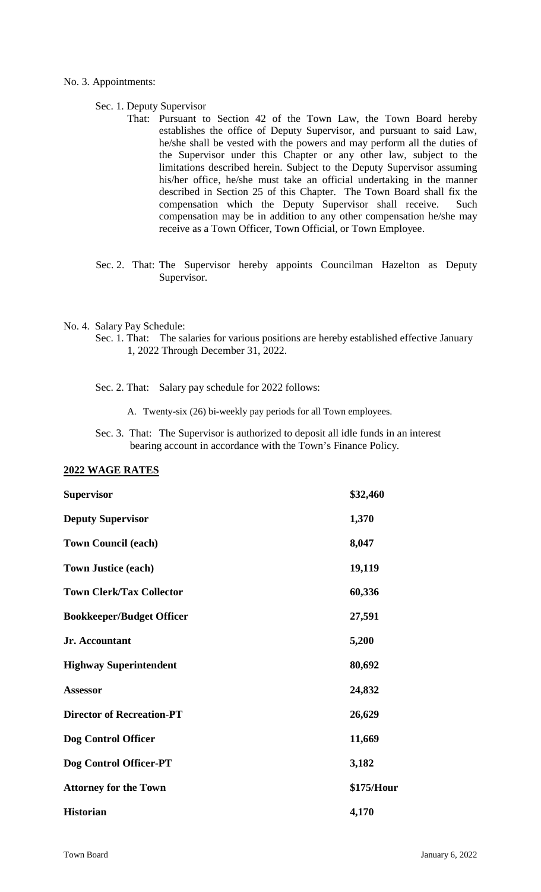### No. 3. Appointments:

### Sec. 1. Deputy Supervisor

- That: Pursuant to Section 42 of the Town Law, the Town Board hereby establishes the office of Deputy Supervisor, and pursuant to said Law, he/she shall be vested with the powers and may perform all the duties of the Supervisor under this Chapter or any other law, subject to the limitations described herein. Subject to the Deputy Supervisor assuming his/her office, he/she must take an official undertaking in the manner described in Section 25 of this Chapter. The Town Board shall fix the compensation which the Deputy Supervisor shall receive. Such compensation may be in addition to any other compensation he/she may receive as a Town Officer, Town Official, or Town Employee.
- Sec. 2. That: The Supervisor hereby appoints Councilman Hazelton as Deputy Supervisor.

### No. 4. Salary Pay Schedule:

- Sec. 1. That: The salaries for various positions are hereby established effective January 1, 2022 Through December 31, 2022.
- Sec. 2. That: Salary pay schedule for 2022 follows:
	- A. Twenty-six (26) bi-weekly pay periods for all Town employees.
- Sec. 3. That: The Supervisor is authorized to deposit all idle funds in an interest bearing account in accordance with the Town's Finance Policy.

### **2022 WAGE RATES**

| <b>Supervisor</b>                | \$32,460   |
|----------------------------------|------------|
| <b>Deputy Supervisor</b>         | 1,370      |
| <b>Town Council (each)</b>       | 8,047      |
| <b>Town Justice (each)</b>       | 19,119     |
| <b>Town Clerk/Tax Collector</b>  | 60,336     |
| <b>Bookkeeper/Budget Officer</b> | 27,591     |
| Jr. Accountant                   | 5,200      |
| <b>Highway Superintendent</b>    | 80,692     |
| <b>Assessor</b>                  | 24,832     |
| <b>Director of Recreation-PT</b> | 26,629     |
| Dog Control Officer              | 11,669     |
| Dog Control Officer-PT           | 3,182      |
| <b>Attorney for the Town</b>     | \$175/Hour |
| <b>Historian</b>                 | 4,170      |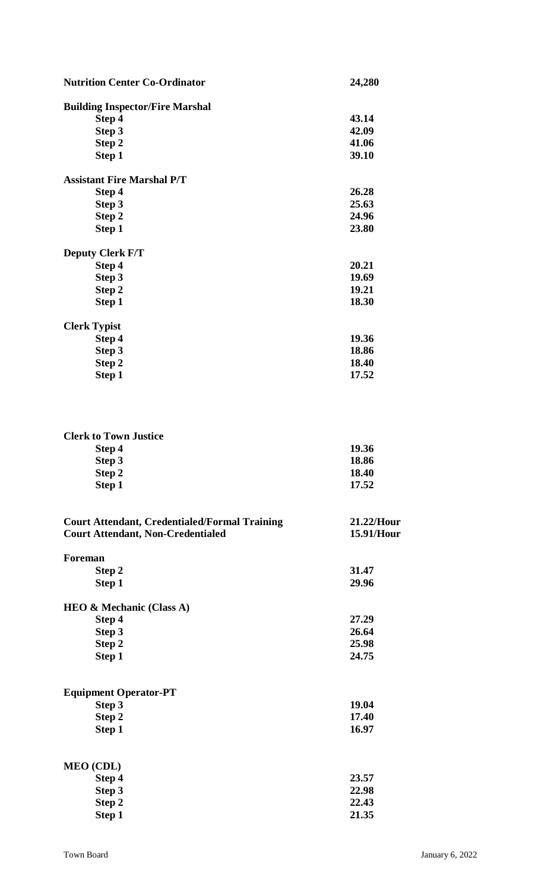| <b>Nutrition Center Co-Ordinator</b>                 | 24,280     |  |
|------------------------------------------------------|------------|--|
| <b>Building Inspector/Fire Marshal</b>               |            |  |
| Step 4                                               | 43.14      |  |
| Step 3                                               | 42.09      |  |
| Step 2                                               | 41.06      |  |
| Step 1                                               | 39.10      |  |
| <b>Assistant Fire Marshal P/T</b>                    |            |  |
| Step 4                                               | 26.28      |  |
| Step 3                                               | 25.63      |  |
| Step 2                                               | 24.96      |  |
| Step 1                                               | 23.80      |  |
| <b>Deputy Clerk F/T</b>                              |            |  |
| Step 4                                               | 20.21      |  |
| Step 3                                               | 19.69      |  |
| Step 2                                               | 19.21      |  |
| Step 1                                               | 18.30      |  |
| <b>Clerk Typist</b>                                  |            |  |
| Step 4                                               | 19.36      |  |
| Step 3                                               | 18.86      |  |
| Step 2                                               | 18.40      |  |
| Step 1                                               | 17.52      |  |
| <b>Clerk to Town Justice</b>                         |            |  |
| Step 4                                               | 19.36      |  |
| Step 3                                               | 18.86      |  |
| Step 2                                               | 18.40      |  |
| Step 1                                               | 17.52      |  |
| <b>Court Attendant, Credentialed/Formal Training</b> | 21.22/Hour |  |
| <b>Court Attendant, Non-Credentialed</b>             | 15.91/Hour |  |
| Foreman                                              |            |  |
| Step 2                                               | 31.47      |  |
| Step 1                                               | 29.96      |  |
| <b>HEO &amp; Mechanic (Class A)</b>                  |            |  |
| Step 4                                               | 27.29      |  |
| Step 3                                               | 26.64      |  |
| Step 2                                               | 25.98      |  |
| Step 1                                               | 24.75      |  |
| <b>Equipment Operator-PT</b>                         |            |  |
| Step 3                                               | 19.04      |  |
| Step 2                                               | 17.40      |  |
| Step 1                                               | 16.97      |  |
| <b>MEO</b> (CDL)                                     |            |  |
| Step 4                                               | 23.57      |  |
| Step 3                                               | 22.98      |  |
| Step 2                                               | 22.43      |  |
| Step 1                                               | 21.35      |  |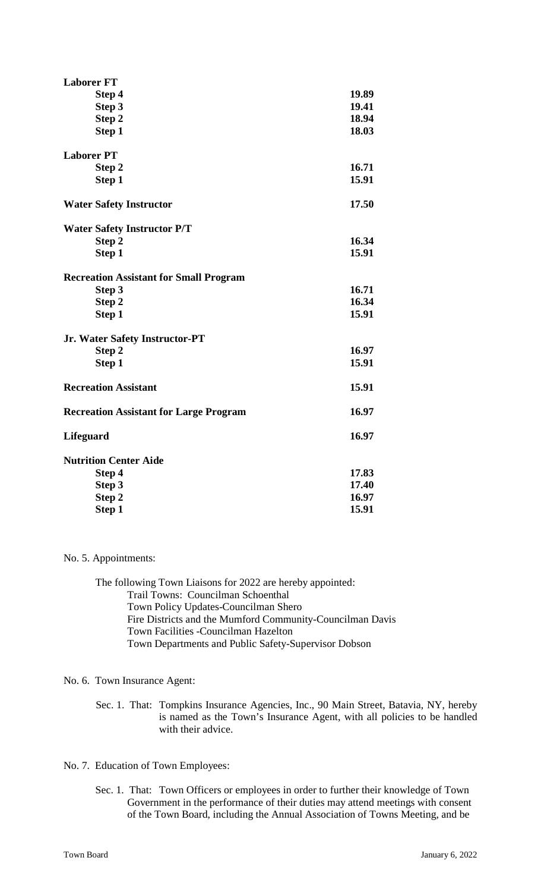| <b>Laborer FT</b>                             |       |
|-----------------------------------------------|-------|
| Step 4                                        | 19.89 |
| Step 3                                        | 19.41 |
| Step 2                                        | 18.94 |
| Step 1                                        | 18.03 |
| <b>Laborer PT</b>                             |       |
| Step 2                                        | 16.71 |
| Step 1                                        | 15.91 |
| <b>Water Safety Instructor</b>                | 17.50 |
| <b>Water Safety Instructor P/T</b>            |       |
| Step 2                                        | 16.34 |
| Step 1                                        | 15.91 |
| <b>Recreation Assistant for Small Program</b> |       |
| Step 3                                        | 16.71 |
| Step 2                                        | 16.34 |
| Step 1                                        | 15.91 |
| Jr. Water Safety Instructor-PT                |       |
| Step 2                                        | 16.97 |
| Step 1                                        | 15.91 |
| <b>Recreation Assistant</b>                   | 15.91 |
| <b>Recreation Assistant for Large Program</b> | 16.97 |
| <b>Lifeguard</b>                              | 16.97 |
| <b>Nutrition Center Aide</b>                  |       |
| Step 4                                        | 17.83 |
| Step 3                                        | 17.40 |
| Step 2                                        | 16.97 |
| Step 1                                        | 15.91 |

No. 5. Appointments:

The following Town Liaisons for 2022 are hereby appointed: Trail Towns: Councilman Schoenthal Town Policy Updates-Councilman Shero Fire Districts and the Mumford Community-Councilman Davis Town Facilities -Councilman Hazelton Town Departments and Public Safety-Supervisor Dobson

No. 6. Town Insurance Agent:

Sec. 1. That: Tompkins Insurance Agencies, Inc., 90 Main Street, Batavia, NY, hereby is named as the Town's Insurance Agent, with all policies to be handled with their advice.

No. 7. Education of Town Employees:

Sec. 1. That: Town Officers or employees in order to further their knowledge of Town Government in the performance of their duties may attend meetings with consent of the Town Board, including the Annual Association of Towns Meeting, and be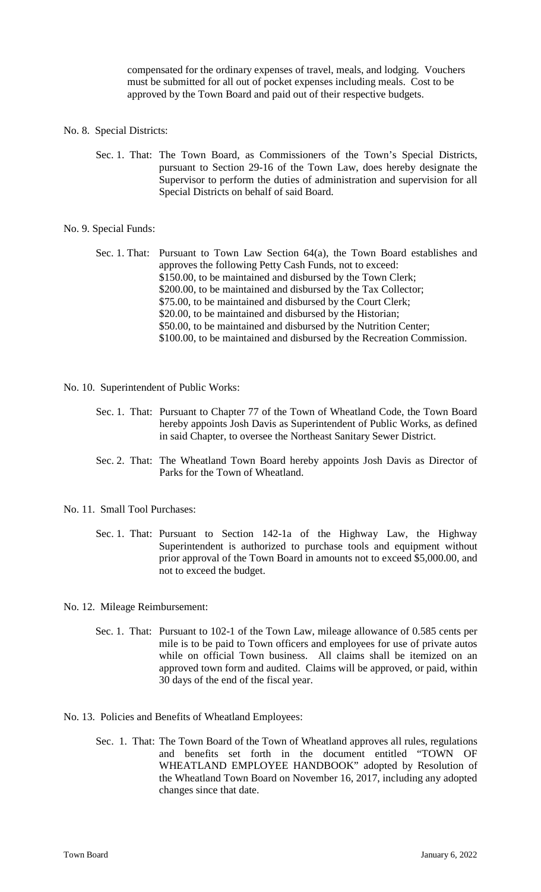compensated for the ordinary expenses of travel, meals, and lodging. Vouchers must be submitted for all out of pocket expenses including meals. Cost to be approved by the Town Board and paid out of their respective budgets.

- No. 8. Special Districts:
	- Sec. 1. That: The Town Board, as Commissioners of the Town's Special Districts, pursuant to Section 29-16 of the Town Law, does hereby designate the Supervisor to perform the duties of administration and supervision for all Special Districts on behalf of said Board.

#### No. 9. Special Funds:

Sec. 1. That: Pursuant to Town Law Section 64(a), the Town Board establishes and approves the following Petty Cash Funds, not to exceed: \$150.00, to be maintained and disbursed by the Town Clerk; \$200.00, to be maintained and disbursed by the Tax Collector; \$75.00, to be maintained and disbursed by the Court Clerk; \$20.00, to be maintained and disbursed by the Historian; \$50.00, to be maintained and disbursed by the Nutrition Center; \$100.00, to be maintained and disbursed by the Recreation Commission.

- No. 10. Superintendent of Public Works:
	- Sec. 1. That: Pursuant to Chapter 77 of the Town of Wheatland Code, the Town Board hereby appoints Josh Davis as Superintendent of Public Works, as defined in said Chapter, to oversee the Northeast Sanitary Sewer District.
	- Sec. 2. That: The Wheatland Town Board hereby appoints Josh Davis as Director of Parks for the Town of Wheatland.
- No. 11. Small Tool Purchases:
	- Sec. 1. That: Pursuant to Section 142-1a of the Highway Law, the Highway Superintendent is authorized to purchase tools and equipment without prior approval of the Town Board in amounts not to exceed \$5,000.00, and not to exceed the budget.

No. 12. Mileage Reimbursement:

- Sec. 1. That: Pursuant to 102-1 of the Town Law, mileage allowance of 0.585 cents per mile is to be paid to Town officers and employees for use of private autos while on official Town business. All claims shall be itemized on an approved town form and audited. Claims will be approved, or paid, within 30 days of the end of the fiscal year.
- No. 13. Policies and Benefits of Wheatland Employees:
	- Sec. 1. That: The Town Board of the Town of Wheatland approves all rules, regulations and benefits set forth in the document entitled "TOWN OF WHEATLAND EMPLOYEE HANDBOOK" adopted by Resolution of the Wheatland Town Board on November 16, 2017, including any adopted changes since that date.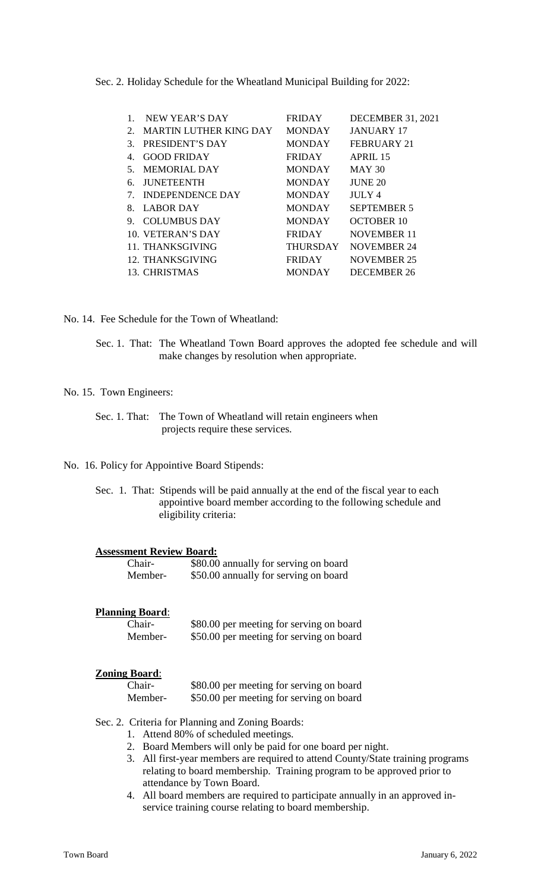Sec. 2. Holiday Schedule for the Wheatland Municipal Building for 2022:

| NEW YEAR'S DAY          | <b>FRIDAY</b> | <b>DECEMBER 31, 2021</b> |
|-------------------------|---------------|--------------------------|
| MARTIN LUTHER KING DAY  | <b>MONDAY</b> | <b>JANUARY 17</b>        |
| PRESIDENT'S DAY         | <b>MONDAY</b> | FEBRUARY 21              |
| <b>GOOD FRIDAY</b>      | <b>FRIDAY</b> | APRII.15                 |
| MEMORIAL DAY            | <b>MONDAY</b> | <b>MAY 30</b>            |
| <b>JUNETEENTH</b>       | <b>MONDAY</b> | <b>JUNE 20</b>           |
| <b>INDEPENDENCE DAY</b> | <b>MONDAY</b> | <b>JULY 4</b>            |
| <b>LABOR DAY</b>        | <b>MONDAY</b> | <b>SEPTEMBER 5</b>       |
| <b>COLUMBUS DAY</b>     | <b>MONDAY</b> | <b>OCTOBER 10</b>        |
| 10. VETERAN'S DAY       | <b>FRIDAY</b> | <b>NOVEMBER 11</b>       |
| 11. THANKSGIVING        |               | <b>NOVEMBER 24</b>       |
| 12. THANKSGIVING        | <b>FRIDAY</b> | <b>NOVEMBER 25</b>       |
| 13. CHRISTMAS           | <b>MONDAY</b> | <b>DECEMBER 26</b>       |
|                         |               | <b>THURSDAY</b>          |

No. 14. Fee Schedule for the Town of Wheatland:

Sec. 1. That: The Wheatland Town Board approves the adopted fee schedule and will make changes by resolution when appropriate.

### No. 15. Town Engineers:

Sec. 1. That: The Town of Wheatland will retain engineers when projects require these services.

No. 16. Policy for Appointive Board Stipends:

Sec. 1. That: Stipends will be paid annually at the end of the fiscal year to each appointive board member according to the following schedule and eligibility criteria:

#### **Assessment Review Board:**

| Chair-  | \$80.00 annually for serving on board |
|---------|---------------------------------------|
| Member- | \$50.00 annually for serving on board |

### **Planning Board**:

| Chair-  | \$80.00 per meeting for serving on board |  |
|---------|------------------------------------------|--|
| Member- | \$50.00 per meeting for serving on board |  |

### **Zoning Board**:

| Chair-  | \$80.00 per meeting for serving on board |
|---------|------------------------------------------|
| Member- | \$50.00 per meeting for serving on board |

Sec. 2. Criteria for Planning and Zoning Boards:

- 1. Attend 80% of scheduled meetings.
- 2. Board Members will only be paid for one board per night.
- 3. All first-year members are required to attend County/State training programs relating to board membership. Training program to be approved prior to attendance by Town Board.
- 4. All board members are required to participate annually in an approved inservice training course relating to board membership.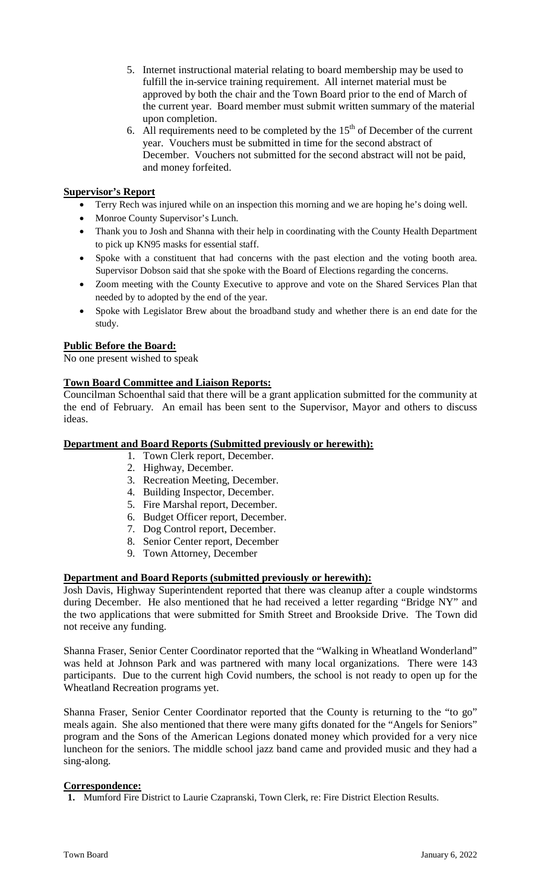- 5. Internet instructional material relating to board membership may be used to fulfill the in-service training requirement. All internet material must be approved by both the chair and the Town Board prior to the end of March of the current year. Board member must submit written summary of the material upon completion.
- 6. All requirements need to be completed by the  $15<sup>th</sup>$  of December of the current year. Vouchers must be submitted in time for the second abstract of December. Vouchers not submitted for the second abstract will not be paid, and money forfeited.

## **Supervisor's Report**

- Terry Rech was injured while on an inspection this morning and we are hoping he's doing well.
- Monroe County Supervisor's Lunch.
- Thank you to Josh and Shanna with their help in coordinating with the County Health Department to pick up KN95 masks for essential staff.
- Spoke with a constituent that had concerns with the past election and the voting booth area. Supervisor Dobson said that she spoke with the Board of Elections regarding the concerns.
- Zoom meeting with the County Executive to approve and vote on the Shared Services Plan that needed by to adopted by the end of the year.
- Spoke with Legislator Brew about the broadband study and whether there is an end date for the study.

## **Public Before the Board:**

No one present wished to speak

## **Town Board Committee and Liaison Reports:**

Councilman Schoenthal said that there will be a grant application submitted for the community at the end of February. An email has been sent to the Supervisor, Mayor and others to discuss ideas.

### **Department and Board Reports (Submitted previously or herewith):**

- 1. Town Clerk report, December.
- 2. Highway, December.
- 3. Recreation Meeting, December.
- 4. Building Inspector, December.
- 5. Fire Marshal report, December.
- 6. Budget Officer report, December.
- 7. Dog Control report, December.
- 8. Senior Center report, December
- 9. Town Attorney, December

## **Department and Board Reports (submitted previously or herewith):**

Josh Davis, Highway Superintendent reported that there was cleanup after a couple windstorms during December. He also mentioned that he had received a letter regarding "Bridge NY" and the two applications that were submitted for Smith Street and Brookside Drive. The Town did not receive any funding.

Shanna Fraser, Senior Center Coordinator reported that the "Walking in Wheatland Wonderland" was held at Johnson Park and was partnered with many local organizations. There were 143 participants. Due to the current high Covid numbers, the school is not ready to open up for the Wheatland Recreation programs yet.

Shanna Fraser, Senior Center Coordinator reported that the County is returning to the "to go" meals again. She also mentioned that there were many gifts donated for the "Angels for Seniors" program and the Sons of the American Legions donated money which provided for a very nice luncheon for the seniors. The middle school jazz band came and provided music and they had a sing-along.

### **Correspondence:**

**1.** Mumford Fire District to Laurie Czapranski, Town Clerk, re: Fire District Election Results.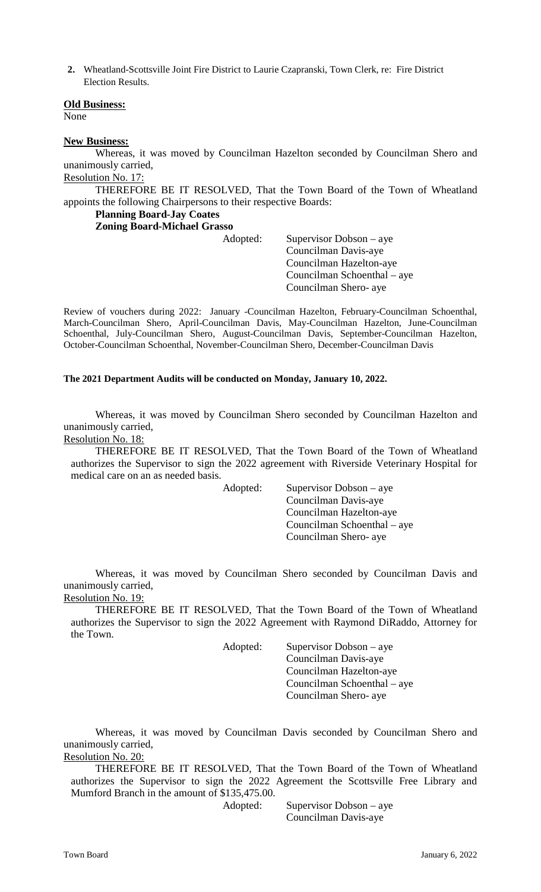**2.** Wheatland-Scottsville Joint Fire District to Laurie Czapranski, Town Clerk, re: Fire District Election Results.

### **Old Business:**

None

### **New Business:**

Whereas, it was moved by Councilman Hazelton seconded by Councilman Shero and unanimously carried,

# Resolution No. 17:

THEREFORE BE IT RESOLVED, That the Town Board of the Town of Wheatland appoints the following Chairpersons to their respective Boards:

# **Planning Board-Jay Coates**

**Zoning Board-Michael Grasso**

| Adopted: | Supervisor Dobson $-$ aye<br>Councilman Davis-aye<br>Councilman Hazelton-aye<br>Councilman Schoenthal – aye |
|----------|-------------------------------------------------------------------------------------------------------------|
|          | Councilman Shero- aye                                                                                       |

Review of vouchers during 2022: January -Councilman Hazelton, February-Councilman Schoenthal, March-Councilman Shero, April-Councilman Davis, May-Councilman Hazelton, June-Councilman Schoenthal, July-Councilman Shero, August-Councilman Davis, September-Councilman Hazelton, October-Councilman Schoenthal, November-Councilman Shero, December-Councilman Davis

### **The 2021 Department Audits will be conducted on Monday, January 10, 2022.**

Whereas, it was moved by Councilman Shero seconded by Councilman Hazelton and unanimously carried,

## Resolution No. 18:

THEREFORE BE IT RESOLVED, That the Town Board of the Town of Wheatland authorizes the Supervisor to sign the 2022 agreement with Riverside Veterinary Hospital for medical care on an as needed basis.

Adopted: Supervisor Dobson – aye Councilman Davis-aye Councilman Hazelton-aye Councilman Schoenthal – aye Councilman Shero- aye

Whereas, it was moved by Councilman Shero seconded by Councilman Davis and unanimously carried, Resolution No. 19:

THEREFORE BE IT RESOLVED, That the Town Board of the Town of Wheatland authorizes the Supervisor to sign the 2022 Agreement with Raymond DiRaddo, Attorney for the Town.

Adopted: Supervisor Dobson – aye Councilman Davis-aye Councilman Hazelton-aye Councilman Schoenthal – aye Councilman Shero- aye

Whereas, it was moved by Councilman Davis seconded by Councilman Shero and unanimously carried, Resolution No. 20:

THEREFORE BE IT RESOLVED, That the Town Board of the Town of Wheatland authorizes the Supervisor to sign the 2022 Agreement the Scottsville Free Library and Mumford Branch in the amount of \$135,475.00.

Adopted: Supervisor Dobson – aye Councilman Davis-aye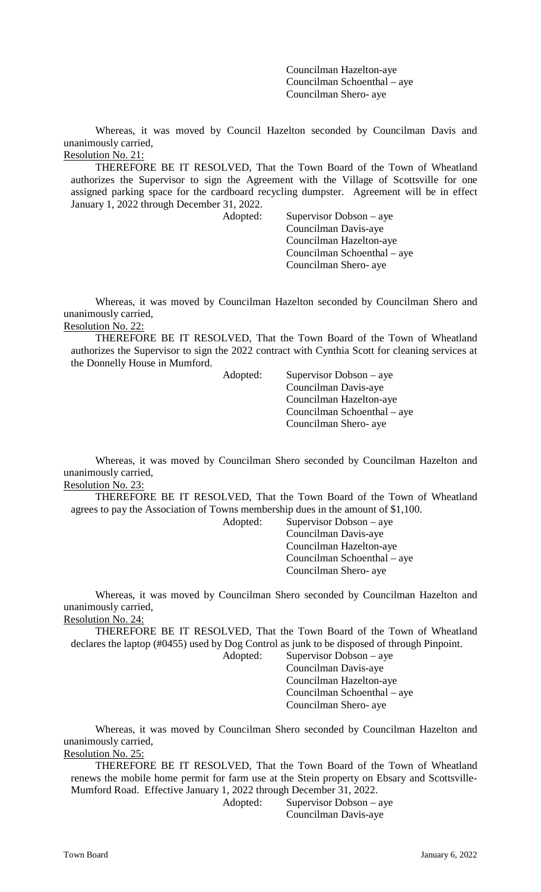Councilman Hazelton-aye Councilman Schoenthal – aye Councilman Shero- aye

Whereas, it was moved by Council Hazelton seconded by Councilman Davis and unanimously carried, Resolution No. 21:

THEREFORE BE IT RESOLVED, That the Town Board of the Town of Wheatland authorizes the Supervisor to sign the Agreement with the Village of Scottsville for one assigned parking space for the cardboard recycling dumpster. Agreement will be in effect January 1, 2022 through December 31, 2022.

Adopted: Supervisor Dobson – aye Councilman Davis-aye Councilman Hazelton-aye Councilman Schoenthal – aye Councilman Shero- aye

Whereas, it was moved by Councilman Hazelton seconded by Councilman Shero and unanimously carried,

Resolution No. 22:

THEREFORE BE IT RESOLVED, That the Town Board of the Town of Wheatland authorizes the Supervisor to sign the 2022 contract with Cynthia Scott for cleaning services at the Donnelly House in Mumford.

Adopted: Supervisor Dobson – aye Councilman Davis-aye Councilman Hazelton-aye Councilman Schoenthal – aye Councilman Shero- aye

Whereas, it was moved by Councilman Shero seconded by Councilman Hazelton and unanimously carried, Resolution No. 23:

THEREFORE BE IT RESOLVED, That the Town Board of the Town of Wheatland agrees to pay the Association of Towns membership dues in the amount of \$1,100.

Adopted: Supervisor Dobson – aye Councilman Davis-aye Councilman Hazelton-aye Councilman Schoenthal – aye Councilman Shero- aye

Whereas, it was moved by Councilman Shero seconded by Councilman Hazelton and unanimously carried,

Resolution No. 24:

THEREFORE BE IT RESOLVED, That the Town Board of the Town of Wheatland declares the laptop (#0455) used by Dog Control as junk to be disposed of through Pinpoint.

Adopted: Supervisor Dobson – aye Councilman Davis-aye Councilman Hazelton-aye Councilman Schoenthal – aye Councilman Shero- aye

Whereas, it was moved by Councilman Shero seconded by Councilman Hazelton and unanimously carried, Resolution No. 25:

THEREFORE BE IT RESOLVED, That the Town Board of the Town of Wheatland renews the mobile home permit for farm use at the Stein property on Ebsary and Scottsville-Mumford Road. Effective January 1, 2022 through December 31, 2022.

Adopted: Supervisor Dobson – aye Councilman Davis-aye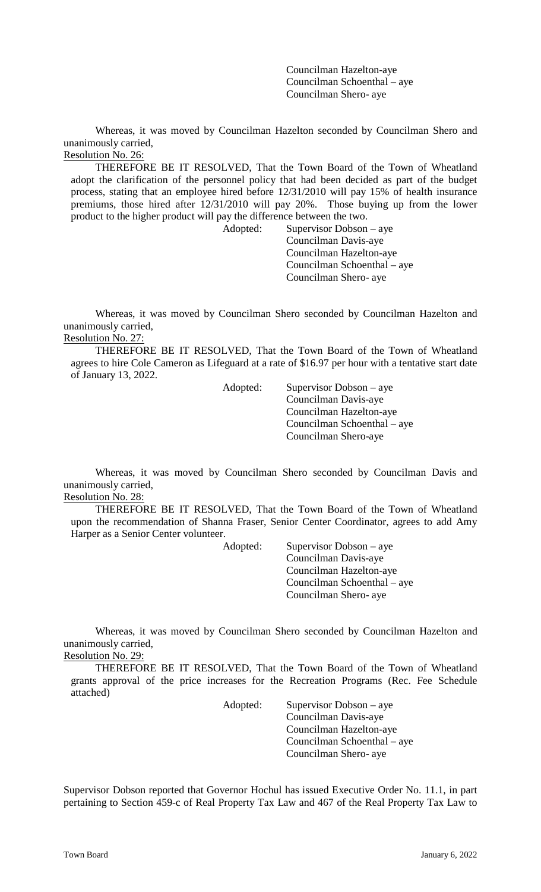Councilman Hazelton-aye Councilman Schoenthal – aye Councilman Shero- aye

Whereas, it was moved by Councilman Hazelton seconded by Councilman Shero and unanimously carried, Resolution No. 26:

THEREFORE BE IT RESOLVED, That the Town Board of the Town of Wheatland adopt the clarification of the personnel policy that had been decided as part of the budget process, stating that an employee hired before 12/31/2010 will pay 15% of health insurance premiums, those hired after 12/31/2010 will pay 20%. Those buying up from the lower product to the higher product will pay the difference between the two.

> Adopted: Supervisor Dobson – aye Councilman Davis-aye Councilman Hazelton-aye Councilman Schoenthal – aye Councilman Shero- aye

Whereas, it was moved by Councilman Shero seconded by Councilman Hazelton and unanimously carried, Resolution No. 27:

THEREFORE BE IT RESOLVED, That the Town Board of the Town of Wheatland agrees to hire Cole Cameron as Lifeguard at a rate of \$16.97 per hour with a tentative start date of January 13, 2022.

Adopted: Supervisor Dobson – aye Councilman Davis-aye Councilman Hazelton-aye Councilman Schoenthal – aye Councilman Shero-aye

Whereas, it was moved by Councilman Shero seconded by Councilman Davis and unanimously carried, Resolution No. 28:

THEREFORE BE IT RESOLVED, That the Town Board of the Town of Wheatland upon the recommendation of Shanna Fraser, Senior Center Coordinator, agrees to add Amy Harper as a Senior Center volunteer.

> Adopted: Supervisor Dobson – aye Councilman Davis-aye Councilman Hazelton-aye Councilman Schoenthal – aye Councilman Shero- aye

Whereas, it was moved by Councilman Shero seconded by Councilman Hazelton and unanimously carried, Resolution No. 29:

THEREFORE BE IT RESOLVED, That the Town Board of the Town of Wheatland grants approval of the price increases for the Recreation Programs (Rec. Fee Schedule attached)

> Adopted: Supervisor Dobson – aye Councilman Davis-aye Councilman Hazelton-aye Councilman Schoenthal – aye Councilman Shero- aye

Supervisor Dobson reported that Governor Hochul has issued Executive Order No. 11.1, in part pertaining to Section 459-c of Real Property Tax Law and 467 of the Real Property Tax Law to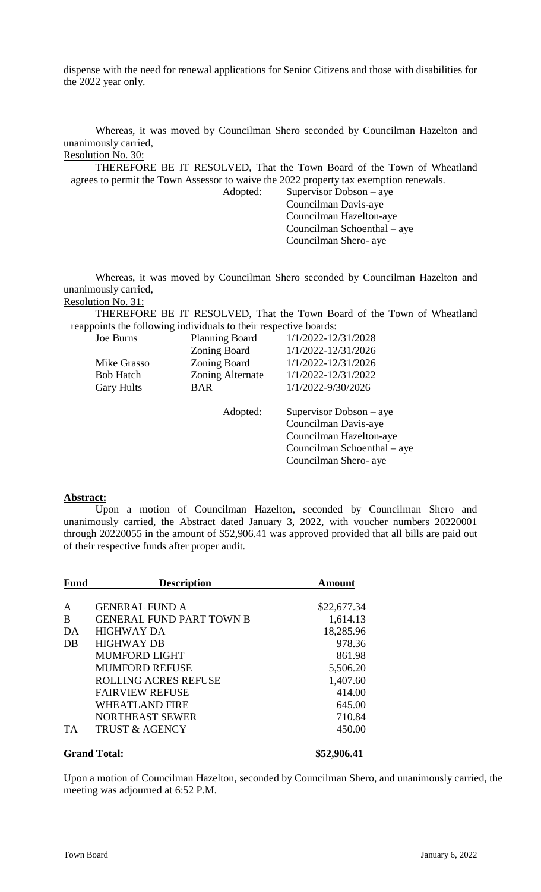dispense with the need for renewal applications for Senior Citizens and those with disabilities for the 2022 year only.

Whereas, it was moved by Councilman Shero seconded by Councilman Hazelton and unanimously carried, Resolution No. 30:

THEREFORE BE IT RESOLVED, That the Town Board of the Town of Wheatland agrees to permit the Town Assessor to waive the 2022 property tax exemption renewals.

Adopted: Supervisor Dobson – aye Councilman Davis-aye Councilman Hazelton-aye Councilman Schoenthal – aye Councilman Shero- aye

Whereas, it was moved by Councilman Shero seconded by Councilman Hazelton and unanimously carried, Resolution No. 31:

THEREFORE BE IT RESOLVED, That the Town Board of the Town of Wheatland reappoints the following individuals to their respective boards:

| Joe Burns         | <b>Planning Board</b> | 1/1/2022-12/31/2028         |
|-------------------|-----------------------|-----------------------------|
|                   | Zoning Board          | 1/1/2022-12/31/2026         |
| Mike Grasso       | Zoning Board          | 1/1/2022-12/31/2026         |
| <b>Bob Hatch</b>  | Zoning Alternate      | 1/1/2022-12/31/2022         |
| <b>Gary Hults</b> | <b>BAR</b>            | 1/1/2022-9/30/2026          |
|                   |                       |                             |
|                   | Adopted:              | Supervisor Dobson $-$ aye   |
|                   |                       | Councilman Davis-aye        |
|                   |                       | Councilman Hazelton-aye     |
|                   |                       | Councilman Schoenthal – aye |
|                   |                       | Councilman Shero- aye       |
|                   |                       |                             |

### **Abstract:**

Upon a motion of Councilman Hazelton, seconded by Councilman Shero and unanimously carried, the Abstract dated January 3, 2022, with voucher numbers 20220001 through 20220055 in the amount of \$52,906.41 was approved provided that all bills are paid out of their respective funds after proper audit.

| <b>Fund</b> | <b>Description</b>              | Amount      |
|-------------|---------------------------------|-------------|
| A           | <b>GENERAL FUND A</b>           | \$22,677.34 |
| B           | <b>GENERAL FUND PART TOWN B</b> | 1,614.13    |
| DA          | <b>HIGHWAY DA</b>               | 18,285.96   |
| DB          | <b>HIGHWAY DB</b>               | 978.36      |
|             | <b>MUMFORD LIGHT</b>            | 861.98      |
|             | <b>MUMFORD REFUSE</b>           | 5,506.20    |
|             | <b>ROLLING ACRES REFUSE</b>     | 1,407.60    |
|             | <b>FAIRVIEW REFUSE</b>          | 414.00      |
|             | <b>WHEATLAND FIRE</b>           | 645.00      |
|             | <b>NORTHEAST SEWER</b>          | 710.84      |
| <b>TA</b>   | <b>TRUST &amp; AGENCY</b>       | 450.00      |
|             | <b>Grand Total:</b>             | \$52,906.41 |

Upon a motion of Councilman Hazelton, seconded by Councilman Shero, and unanimously carried, the meeting was adjourned at 6:52 P.M.